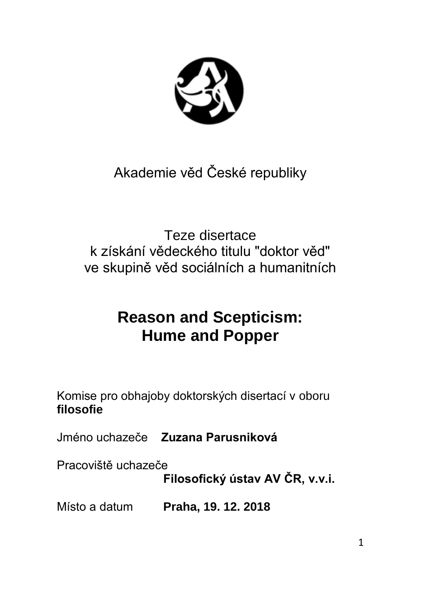

# Akademie věd České republiky

Teze disertace k získání vědeckého titulu "doktor věd" ve skupině věd sociálních a humanitních

## **Reason and Scepticism: Hume and Popper**

Komise pro obhajoby doktorských disertací v oboru **filosofie**

Jméno uchazeče **Zuzana Parusniková**

Pracoviště uchazeče

**Filosofický ústav AV ČR, v.v.i.**

Místo a datum **Praha, 19. 12. 2018**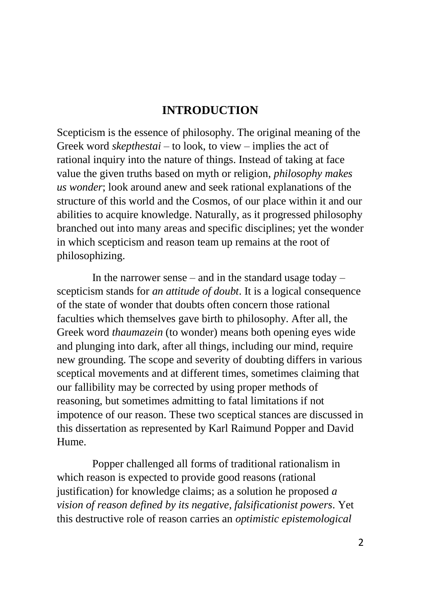#### **INTRODUCTION**

Scepticism is the essence of philosophy. The original meaning of the Greek word *skepthestai* – to look, to view – implies the act of rational inquiry into the nature of things. Instead of taking at face value the given truths based on myth or religion, *philosophy makes us wonder*; look around anew and seek rational explanations of the structure of this world and the Cosmos, of our place within it and our abilities to acquire knowledge. Naturally, as it progressed philosophy branched out into many areas and specific disciplines; yet the wonder in which scepticism and reason team up remains at the root of philosophizing.

In the narrower sense – and in the standard usage today – scepticism stands for *an attitude of doubt*. It is a logical consequence of the state of wonder that doubts often concern those rational faculties which themselves gave birth to philosophy. After all, the Greek word *thaumazein* (to wonder) means both opening eyes wide and plunging into dark, after all things, including our mind, require new grounding. The scope and severity of doubting differs in various sceptical movements and at different times, sometimes claiming that our fallibility may be corrected by using proper methods of reasoning, but sometimes admitting to fatal limitations if not impotence of our reason. These two sceptical stances are discussed in this dissertation as represented by Karl Raimund Popper and David Hume.

Popper challenged all forms of traditional rationalism in which reason is expected to provide good reasons (rational justification) for knowledge claims; as a solution he proposed *a vision of reason defined by its negative, falsificationist powers*. Yet this destructive role of reason carries an *optimistic epistemological*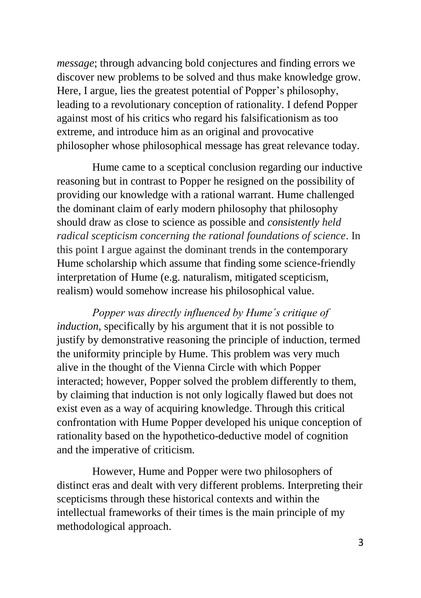*message*; through advancing bold conjectures and finding errors we discover new problems to be solved and thus make knowledge grow. Here, I argue, lies the greatest potential of Popper's philosophy, leading to a revolutionary conception of rationality. I defend Popper against most of his critics who regard his falsificationism as too extreme, and introduce him as an original and provocative philosopher whose philosophical message has great relevance today.

Hume came to a sceptical conclusion regarding our inductive reasoning but in contrast to Popper he resigned on the possibility of providing our knowledge with a rational warrant. Hume challenged the dominant claim of early modern philosophy that philosophy should draw as close to science as possible and *consistently held radical scepticism concerning the rational foundations of science*. In this point I argue against the dominant trends in the contemporary Hume scholarship which assume that finding some science-friendly interpretation of Hume (e.g. naturalism, mitigated scepticism, realism) would somehow increase his philosophical value.

*Popper was directly influenced by Hume´s critique of induction*, specifically by his argument that it is not possible to justify by demonstrative reasoning the principle of induction, termed the uniformity principle by Hume. This problem was very much alive in the thought of the Vienna Circle with which Popper interacted; however, Popper solved the problem differently to them, by claiming that induction is not only logically flawed but does not exist even as a way of acquiring knowledge. Through this critical confrontation with Hume Popper developed his unique conception of rationality based on the hypothetico-deductive model of cognition and the imperative of criticism.

However, Hume and Popper were two philosophers of distinct eras and dealt with very different problems. Interpreting their scepticisms through these historical contexts and within the intellectual frameworks of their times is the main principle of my methodological approach.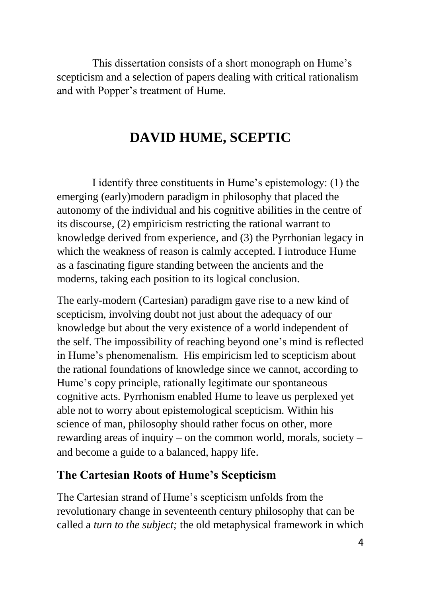This dissertation consists of a short monograph on Hume's scepticism and a selection of papers dealing with critical rationalism and with Popper's treatment of Hume.

## **DAVID HUME, SCEPTIC**

I identify three constituents in Hume's epistemology: (1) the emerging (early)modern paradigm in philosophy that placed the autonomy of the individual and his cognitive abilities in the centre of its discourse, (2) empiricism restricting the rational warrant to knowledge derived from experience, and (3) the Pyrrhonian legacy in which the weakness of reason is calmly accepted. I introduce Hume as a fascinating figure standing between the ancients and the moderns, taking each position to its logical conclusion.

The early-modern (Cartesian) paradigm gave rise to a new kind of scepticism, involving doubt not just about the adequacy of our knowledge but about the very existence of a world independent of the self. The impossibility of reaching beyond one's mind is reflected in Hume's phenomenalism. His empiricism led to scepticism about the rational foundations of knowledge since we cannot, according to Hume's copy principle, rationally legitimate our spontaneous cognitive acts. Pyrrhonism enabled Hume to leave us perplexed yet able not to worry about epistemological scepticism. Within his science of man, philosophy should rather focus on other, more rewarding areas of inquiry – on the common world, morals, society – and become a guide to a balanced, happy life.

#### **The Cartesian Roots of Hume's Scepticism**

The Cartesian strand of Hume's scepticism unfolds from the revolutionary change in seventeenth century philosophy that can be called a *turn to the subject;* the old metaphysical framework in which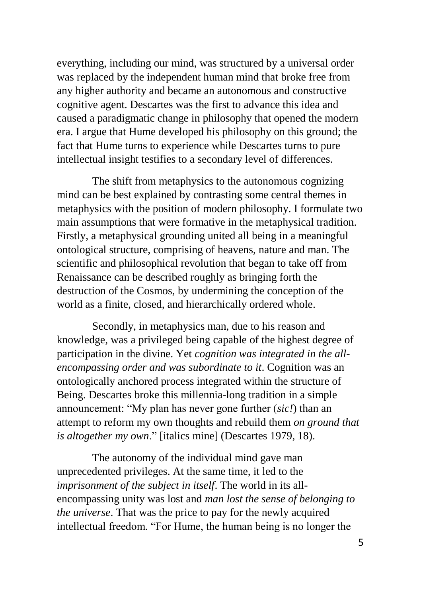everything, including our mind, was structured by a universal order was replaced by the independent human mind that broke free from any higher authority and became an autonomous and constructive cognitive agent. Descartes was the first to advance this idea and caused a paradigmatic change in philosophy that opened the modern era. I argue that Hume developed his philosophy on this ground; the fact that Hume turns to experience while Descartes turns to pure intellectual insight testifies to a secondary level of differences.

The shift from metaphysics to the autonomous cognizing mind can be best explained by contrasting some central themes in metaphysics with the position of modern philosophy. I formulate two main assumptions that were formative in the metaphysical tradition. Firstly, a metaphysical grounding united all being in a meaningful ontological structure, comprising of heavens, nature and man. The scientific and philosophical revolution that began to take off from Renaissance can be described roughly as bringing forth the destruction of the Cosmos, by undermining the conception of the world as a finite, closed, and hierarchically ordered whole.

Secondly, in metaphysics man, due to his reason and knowledge, was a privileged being capable of the highest degree of participation in the divine. Yet *cognition was integrated in the allencompassing order and was subordinate to it*. Cognition was an ontologically anchored process integrated within the structure of Being. Descartes broke this millennia-long tradition in a simple announcement: "My plan has never gone further (*sic!*) than an attempt to reform my own thoughts and rebuild them *on ground that is altogether my own*." [italics mine] (Descartes 1979, 18).

The autonomy of the individual mind gave man unprecedented privileges. At the same time, it led to the *imprisonment of the subject in itself*. The world in its allencompassing unity was lost and *man lost the sense of belonging to the universe*. That was the price to pay for the newly acquired intellectual freedom. "For Hume, the human being is no longer the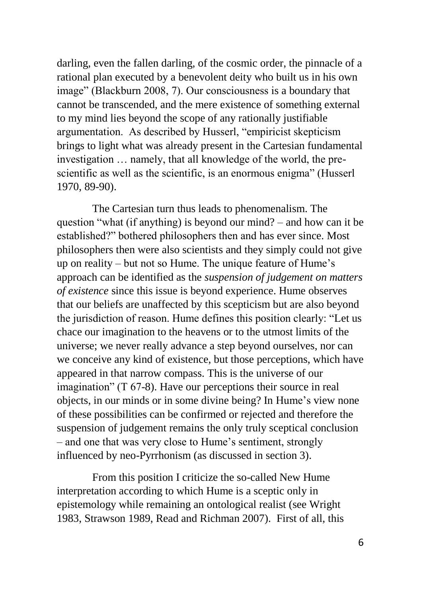darling, even the fallen darling, of the cosmic order, the pinnacle of a rational plan executed by a benevolent deity who built us in his own image" (Blackburn 2008, 7). Our consciousness is a boundary that cannot be transcended, and the mere existence of something external to my mind lies beyond the scope of any rationally justifiable argumentation. As described by Husserl, "empiricist skepticism brings to light what was already present in the Cartesian fundamental investigation … namely, that all knowledge of the world, the prescientific as well as the scientific, is an enormous enigma" (Husserl 1970, 89-90).

The Cartesian turn thus leads to phenomenalism. The question "what (if anything) is beyond our mind? – and how can it be established?" bothered philosophers then and has ever since. Most philosophers then were also scientists and they simply could not give up on reality – but not so Hume. The unique feature of Hume's approach can be identified as the *suspension of judgement on matters of existence* since this issue is beyond experience. Hume observes that our beliefs are unaffected by this scepticism but are also beyond the jurisdiction of reason. Hume defines this position clearly: "Let us chace our imagination to the heavens or to the utmost limits of the universe; we never really advance a step beyond ourselves, nor can we conceive any kind of existence, but those perceptions, which have appeared in that narrow compass. This is the universe of our imagination" (T 67-8). Have our perceptions their source in real objects, in our minds or in some divine being? In Hume's view none of these possibilities can be confirmed or rejected and therefore the suspension of judgement remains the only truly sceptical conclusion – and one that was very close to Hume's sentiment, strongly influenced by neo-Pyrrhonism (as discussed in section 3).

From this position I criticize the so-called New Hume interpretation according to which Hume is a sceptic only in epistemology while remaining an ontological realist (see Wright 1983, Strawson 1989, Read and Richman 2007). First of all, this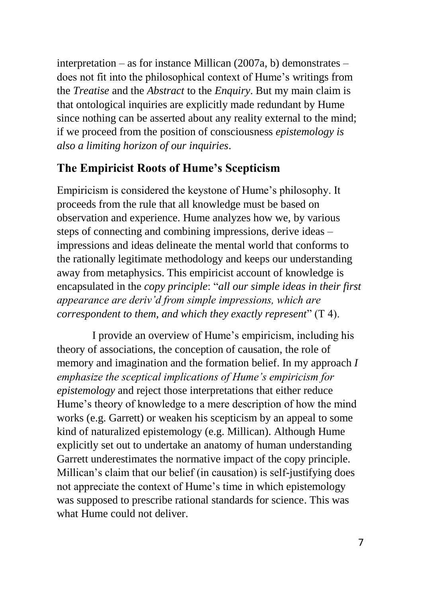interpretation – as for instance Millican (2007a, b) demonstrates – does not fit into the philosophical context of Hume's writings from the *Treatise* and the *Abstract* to the *Enquiry*. But my main claim is that ontological inquiries are explicitly made redundant by Hume since nothing can be asserted about any reality external to the mind; if we proceed from the position of consciousness *epistemology is also a limiting horizon of our inquiries*.

#### **The Empiricist Roots of Hume's Scepticism**

Empiricism is considered the keystone of Hume's philosophy. It proceeds from the rule that all knowledge must be based on observation and experience. Hume analyzes how we, by various steps of connecting and combining impressions, derive ideas – impressions and ideas delineate the mental world that conforms to the rationally legitimate methodology and keeps our understanding away from metaphysics. This empiricist account of knowledge is encapsulated in the *copy principle*: "*all our simple ideas in their first appearance are deriv'd from simple impressions, which are correspondent to them, and which they exactly represent*" (T 4).

I provide an overview of Hume's empiricism, including his theory of associations, the conception of causation, the role of memory and imagination and the formation belief. In my approach *I emphasize the sceptical implications of Hume's empiricism for epistemology* and reject those interpretations that either reduce Hume's theory of knowledge to a mere description of how the mind works (e.g. Garrett) or weaken his scepticism by an appeal to some kind of naturalized epistemology (e.g. Millican). Although Hume explicitly set out to undertake an anatomy of human understanding Garrett underestimates the normative impact of the copy principle. Millican's claim that our belief (in causation) is self-justifying does not appreciate the context of Hume's time in which epistemology was supposed to prescribe rational standards for science. This was what Hume could not deliver.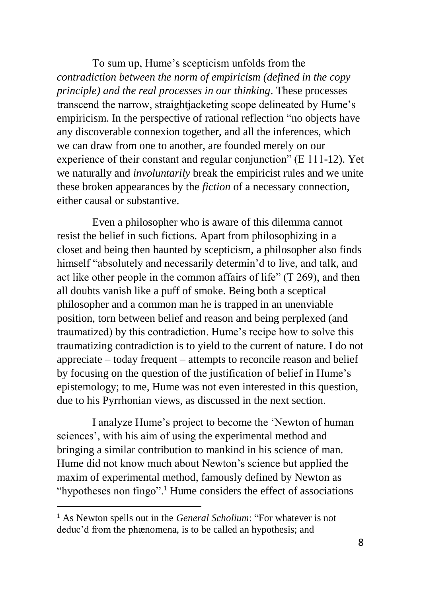To sum up, Hume's scepticism unfolds from the *contradiction between the norm of empiricism (defined in the copy principle) and the real processes in our thinking*. These processes transcend the narrow, straightjacketing scope delineated by Hume's empiricism. In the perspective of rational reflection "no objects have any discoverable connexion together, and all the inferences, which we can draw from one to another, are founded merely on our experience of their constant and regular conjunction" (E 111-12). Yet we naturally and *involuntarily* break the empiricist rules and we unite these broken appearances by the *fiction* of a necessary connection, either causal or substantive.

Even a philosopher who is aware of this dilemma cannot resist the belief in such fictions. Apart from philosophizing in a closet and being then haunted by scepticism, a philosopher also finds himself "absolutely and necessarily determin'd to live, and talk, and act like other people in the common affairs of life" (T 269), and then all doubts vanish like a puff of smoke. Being both a sceptical philosopher and a common man he is trapped in an unenviable position, torn between belief and reason and being perplexed (and traumatized) by this contradiction. Hume's recipe how to solve this traumatizing contradiction is to yield to the current of nature. I do not appreciate – today frequent – attempts to reconcile reason and belief by focusing on the question of the justification of belief in Hume's epistemology; to me, Hume was not even interested in this question, due to his Pyrrhonian views, as discussed in the next section.

I analyze Hume's project to become the 'Newton of human sciences', with his aim of using the experimental method and bringing a similar contribution to mankind in his science of man. Hume did not know much about Newton's science but applied the maxim of experimental method, famously defined by Newton as "hypotheses non fingo".<sup>1</sup> Hume considers the effect of associations

**.** 

<sup>1</sup> As Newton spells out in the *General Scholium*: "For whatever is not deduc'd from the phænomena, is to be called an hypothesis; and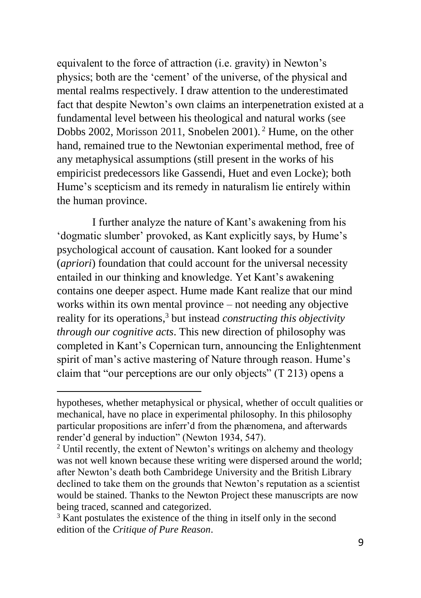equivalent to the force of attraction (i.e. gravity) in Newton's physics; both are the 'cement' of the universe, of the physical and mental realms respectively. I draw attention to the underestimated fact that despite Newton's own claims an interpenetration existed at a fundamental level between his theological and natural works (see Dobbs 2002, Morisson 2011, Snobelen 2001). <sup>2</sup> Hume, on the other hand, remained true to the Newtonian experimental method, free of any metaphysical assumptions (still present in the works of his empiricist predecessors like Gassendi, Huet and even Locke); both Hume's scepticism and its remedy in naturalism lie entirely within the human province.

I further analyze the nature of Kant's awakening from his 'dogmatic slumber' provoked, as Kant explicitly says, by Hume's psychological account of causation. Kant looked for a sounder (*apriori*) foundation that could account for the universal necessity entailed in our thinking and knowledge. Yet Kant's awakening contains one deeper aspect. Hume made Kant realize that our mind works within its own mental province – not needing any objective reality for its operations, <sup>3</sup> but instead *constructing this objectivity through our cognitive acts*. This new direction of philosophy was completed in Kant's Copernican turn, announcing the Enlightenment spirit of man's active mastering of Nature through reason. Hume's claim that "our perceptions are our only objects" (T 213) opens a

-

hypotheses, whether metaphysical or physical, whether of occult qualities or mechanical, have no place in experimental philosophy. In this philosophy particular propositions are inferr'd from the phænomena, and afterwards render'd general by induction" (Newton 1934, 547).

 $2$  Until recently, the extent of Newton's writings on alchemy and theology was not well known because these writing were dispersed around the world; after Newton's death both Cambridege University and the British Library declined to take them on the grounds that Newton's reputation as a scientist would be stained. Thanks to the Newton Project these manuscripts are now being traced, scanned and categorized.

<sup>&</sup>lt;sup>3</sup> Kant postulates the existence of the thing in itself only in the second edition of the *Critique of Pure Reason*.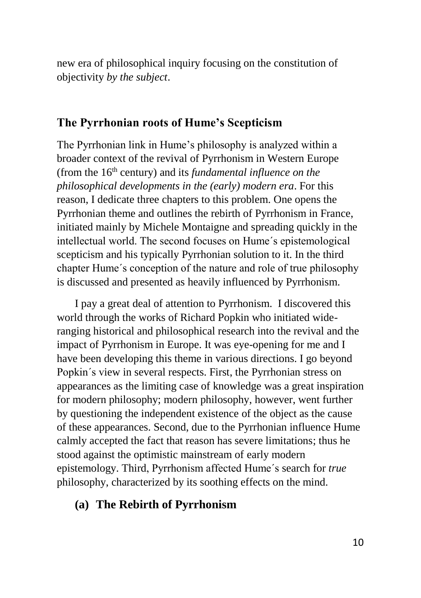new era of philosophical inquiry focusing on the constitution of objectivity *by the subject*.

#### **The Pyrrhonian roots of Hume's Scepticism**

The Pyrrhonian link in Hume's philosophy is analyzed within a broader context of the revival of Pyrrhonism in Western Europe (from the 16<sup>th</sup> century) and its *fundamental influence on the philosophical developments in the (early) modern era*. For this reason, I dedicate three chapters to this problem. One opens the Pyrrhonian theme and outlines the rebirth of Pyrrhonism in France, initiated mainly by Michele Montaigne and spreading quickly in the intellectual world. The second focuses on Hume´s epistemological scepticism and his typically Pyrrhonian solution to it. In the third chapter Hume´s conception of the nature and role of true philosophy is discussed and presented as heavily influenced by Pyrrhonism.

I pay a great deal of attention to Pyrrhonism. I discovered this world through the works of Richard Popkin who initiated wideranging historical and philosophical research into the revival and the impact of Pyrrhonism in Europe. It was eye-opening for me and I have been developing this theme in various directions. I go beyond Popkin´s view in several respects. First, the Pyrrhonian stress on appearances as the limiting case of knowledge was a great inspiration for modern philosophy; modern philosophy, however, went further by questioning the independent existence of the object as the cause of these appearances. Second, due to the Pyrrhonian influence Hume calmly accepted the fact that reason has severe limitations; thus he stood against the optimistic mainstream of early modern epistemology. Third, Pyrrhonism affected Hume´s search for *true* philosophy, characterized by its soothing effects on the mind.

#### **(a) The Rebirth of Pyrrhonism**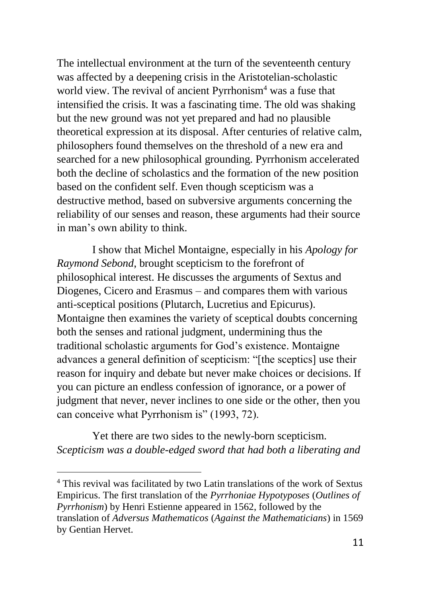The intellectual environment at the turn of the seventeenth century was affected by a deepening crisis in the Aristotelian-scholastic world view. The revival of ancient Pyrrhonism<sup>4</sup> was a fuse that intensified the crisis. It was a fascinating time. The old was shaking but the new ground was not yet prepared and had no plausible theoretical expression at its disposal. After centuries of relative calm, philosophers found themselves on the threshold of a new era and searched for a new philosophical grounding. Pyrrhonism accelerated both the decline of scholastics and the formation of the new position based on the confident self. Even though scepticism was a destructive method, based on subversive arguments concerning the reliability of our senses and reason, these arguments had their source in man's own ability to think.

I show that Michel Montaigne, especially in his *Apology for Raymond Sebond*, brought scepticism to the forefront of philosophical interest. He discusses the arguments of Sextus and Diogenes, Cicero and Erasmus – and compares them with various anti-sceptical positions (Plutarch, Lucretius and Epicurus). Montaigne then examines the variety of sceptical doubts concerning both the senses and rational judgment, undermining thus the traditional scholastic arguments for God's existence. Montaigne advances a general definition of scepticism: "[the sceptics] use their reason for inquiry and debate but never make choices or decisions. If you can picture an endless confession of ignorance, or a power of judgment that never, never inclines to one side or the other, then you can conceive what Pyrrhonism is" (1993, 72).

Yet there are two sides to the newly-born scepticism. *Scepticism was a double-edged sword that had both a liberating and* 

1

<sup>4</sup> This revival was facilitated by two Latin translations of the work of Sextus Empiricus. The first translation of the *Pyrrhoniae Hypotyposes* (*Outlines of Pyrrhonism*) by Henri Estienne appeared in 1562, followed by the translation of *Adversus Mathematicos* (*Against the Mathematicians*) in 1569 by Gentian Hervet.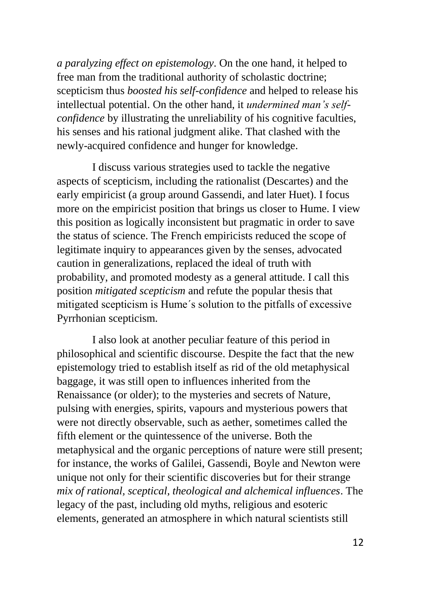*a paralyzing effect on epistemology*. On the one hand, it helped to free man from the traditional authority of scholastic doctrine; scepticism thus *boosted his self-confidence* and helped to release his intellectual potential. On the other hand, it *undermined man's selfconfidence* by illustrating the unreliability of his cognitive faculties, his senses and his rational judgment alike. That clashed with the newly-acquired confidence and hunger for knowledge.

I discuss various strategies used to tackle the negative aspects of scepticism, including the rationalist (Descartes) and the early empiricist (a group around Gassendi, and later Huet). I focus more on the empiricist position that brings us closer to Hume. I view this position as logically inconsistent but pragmatic in order to save the status of science. The French empiricists reduced the scope of legitimate inquiry to appearances given by the senses, advocated caution in generalizations, replaced the ideal of truth with probability, and promoted modesty as a general attitude. I call this position *mitigated scepticism* and refute the popular thesis that mitigated scepticism is Hume´s solution to the pitfalls of excessive Pyrrhonian scepticism.

I also look at another peculiar feature of this period in philosophical and scientific discourse. Despite the fact that the new epistemology tried to establish itself as rid of the old metaphysical baggage, it was still open to influences inherited from the Renaissance (or older); to the mysteries and secrets of Nature, pulsing with energies, spirits, vapours and mysterious powers that were not directly observable, such as aether, sometimes called the fifth element or the quintessence of the universe. Both the metaphysical and the organic perceptions of nature were still present; for instance, the works of Galilei, Gassendi, Boyle and Newton were unique not only for their scientific discoveries but for their strange *mix of rational, sceptical, theological and alchemical influences*. The legacy of the past, including old myths, religious and esoteric elements, generated an atmosphere in which natural scientists still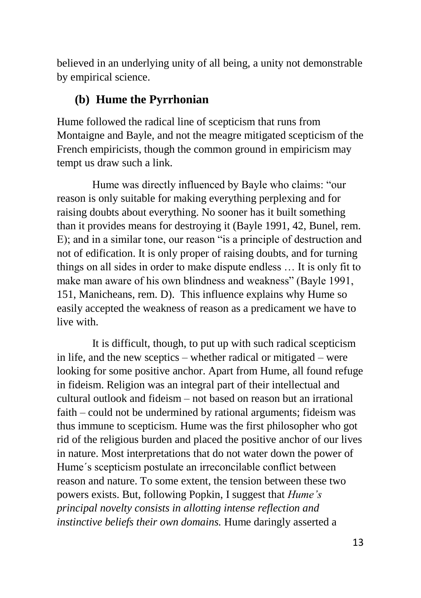believed in an underlying unity of all being, a unity not demonstrable by empirical science.

#### **(b) Hume the Pyrrhonian**

Hume followed the radical line of scepticism that runs from Montaigne and Bayle, and not the meagre mitigated scepticism of the French empiricists, though the common ground in empiricism may tempt us draw such a link.

Hume was directly influenced by Bayle who claims: "our reason is only suitable for making everything perplexing and for raising doubts about everything. No sooner has it built something than it provides means for destroying it (Bayle 1991, 42, Bunel, rem. E); and in a similar tone, our reason "is a principle of destruction and not of edification. It is only proper of raising doubts, and for turning things on all sides in order to make dispute endless … It is only fit to make man aware of his own blindness and weakness" (Bayle 1991, 151, Manicheans, rem. D). This influence explains why Hume so easily accepted the weakness of reason as a predicament we have to live with.

It is difficult, though, to put up with such radical scepticism in life, and the new sceptics – whether radical or mitigated – were looking for some positive anchor. Apart from Hume, all found refuge in fideism. Religion was an integral part of their intellectual and cultural outlook and fideism – not based on reason but an irrational faith – could not be undermined by rational arguments; fideism was thus immune to scepticism. Hume was the first philosopher who got rid of the religious burden and placed the positive anchor of our lives in nature. Most interpretations that do not water down the power of Hume´s scepticism postulate an irreconcilable conflict between reason and nature. To some extent, the tension between these two powers exists. But, following Popkin, I suggest that *Hume's principal novelty consists in allotting intense reflection and instinctive beliefs their own domains.* Hume daringly asserted a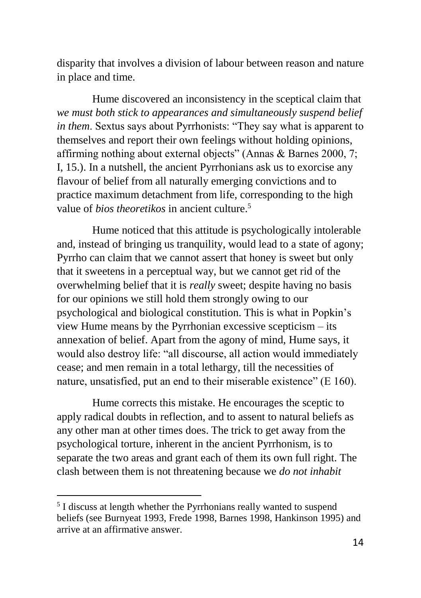disparity that involves a division of labour between reason and nature in place and time.

Hume discovered an inconsistency in the sceptical claim that *we must both stick to appearances and simultaneously suspend belief in them*. Sextus says about Pyrrhonists: "They say what is apparent to themselves and report their own feelings without holding opinions, affirming nothing about external objects" (Annas & Barnes 2000, 7; I, 15.). In a nutshell, the ancient Pyrrhonians ask us to exorcise any flavour of belief from all naturally emerging convictions and to practice maximum detachment from life, corresponding to the high value of *bios theoretikos* in ancient culture.<sup>5</sup>

Hume noticed that this attitude is psychologically intolerable and, instead of bringing us tranquility, would lead to a state of agony; Pyrrho can claim that we cannot assert that honey is sweet but only that it sweetens in a perceptual way, but we cannot get rid of the overwhelming belief that it is *really* sweet; despite having no basis for our opinions we still hold them strongly owing to our psychological and biological constitution. This is what in Popkin's view Hume means by the Pyrrhonian excessive scepticism – its annexation of belief. Apart from the agony of mind, Hume says, it would also destroy life: "all discourse, all action would immediately cease; and men remain in a total lethargy, till the necessities of nature, unsatisfied, put an end to their miserable existence" (E 160).

Hume corrects this mistake. He encourages the sceptic to apply radical doubts in reflection, and to assent to natural beliefs as any other man at other times does. The trick to get away from the psychological torture, inherent in the ancient Pyrrhonism, is to separate the two areas and grant each of them its own full right. The clash between them is not threatening because we *do not inhabit* 

 5 I discuss at length whether the Pyrrhonians really wanted to suspend beliefs (see Burnyeat 1993, Frede 1998, Barnes 1998, Hankinson 1995) and arrive at an affirmative answer.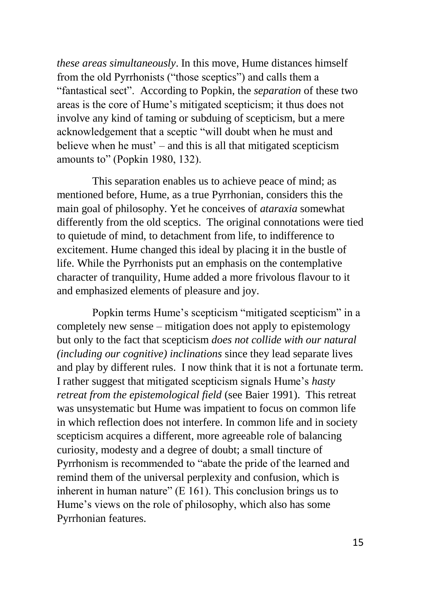*these areas simultaneously*. In this move, Hume distances himself from the old Pyrrhonists ("those sceptics") and calls them a "fantastical sect". According to Popkin, the *separation* of these two areas is the core of Hume's mitigated scepticism; it thus does not involve any kind of taming or subduing of scepticism, but a mere acknowledgement that a sceptic "will doubt when he must and believe when he must' – and this is all that mitigated scepticism amounts to" (Popkin 1980, 132).

This separation enables us to achieve peace of mind; as mentioned before, Hume, as a true Pyrrhonian, considers this the main goal of philosophy. Yet he conceives of *ataraxia* somewhat differently from the old sceptics. The original connotations were tied to quietude of mind, to detachment from life, to indifference to excitement. Hume changed this ideal by placing it in the bustle of life. While the Pyrrhonists put an emphasis on the contemplative character of tranquility, Hume added a more frivolous flavour to it and emphasized elements of pleasure and joy.

Popkin terms Hume's scepticism "mitigated scepticism" in a completely new sense – mitigation does not apply to epistemology but only to the fact that scepticism *does not collide with our natural (including our cognitive) inclinations* since they lead separate lives and play by different rules. I now think that it is not a fortunate term. I rather suggest that mitigated scepticism signals Hume's *hasty retreat from the epistemological field* (see Baier 1991). This retreat was unsystematic but Hume was impatient to focus on common life in which reflection does not interfere. In common life and in society scepticism acquires a different, more agreeable role of balancing curiosity, modesty and a degree of doubt; a small tincture of Pyrrhonism is recommended to "abate the pride of the learned and remind them of the universal perplexity and confusion, which is inherent in human nature" (E 161). This conclusion brings us to Hume's views on the role of philosophy, which also has some Pyrrhonian features.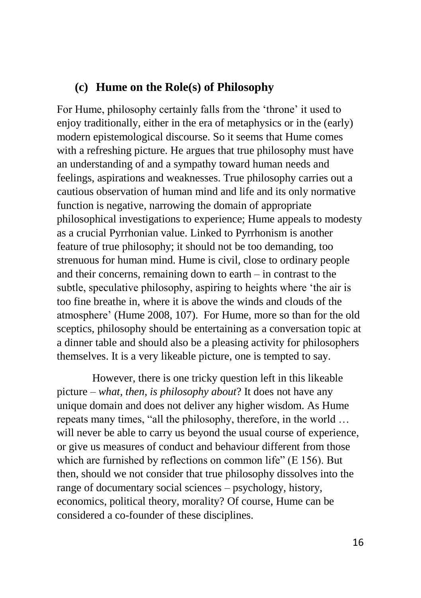#### **(c) Hume on the Role(s) of Philosophy**

For Hume, philosophy certainly falls from the 'throne' it used to enjoy traditionally, either in the era of metaphysics or in the (early) modern epistemological discourse. So it seems that Hume comes with a refreshing picture. He argues that true philosophy must have an understanding of and a sympathy toward human needs and feelings, aspirations and weaknesses. True philosophy carries out a cautious observation of human mind and life and its only normative function is negative, narrowing the domain of appropriate philosophical investigations to experience; Hume appeals to modesty as a crucial Pyrrhonian value. Linked to Pyrrhonism is another feature of true philosophy; it should not be too demanding, too strenuous for human mind. Hume is civil, close to ordinary people and their concerns, remaining down to earth – in contrast to the subtle, speculative philosophy, aspiring to heights where 'the air is too fine breathe in, where it is above the winds and clouds of the atmosphere' (Hume 2008, 107). For Hume, more so than for the old sceptics, philosophy should be entertaining as a conversation topic at a dinner table and should also be a pleasing activity for philosophers themselves. It is a very likeable picture, one is tempted to say.

However, there is one tricky question left in this likeable picture – *what, then, is philosophy about*? It does not have any unique domain and does not deliver any higher wisdom. As Hume repeats many times, "all the philosophy, therefore, in the world … will never be able to carry us beyond the usual course of experience. or give us measures of conduct and behaviour different from those which are furnished by reflections on common life" (E 156). But then, should we not consider that true philosophy dissolves into the range of documentary social sciences – psychology, history, economics, political theory, morality? Of course, Hume can be considered a co-founder of these disciplines.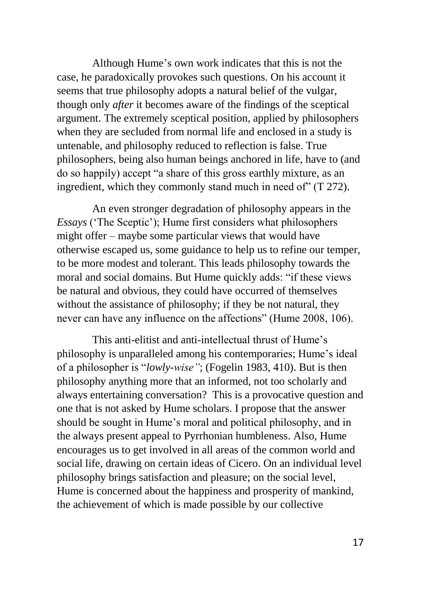Although Hume's own work indicates that this is not the case, he paradoxically provokes such questions. On his account it seems that true philosophy adopts a natural belief of the vulgar, though only *after* it becomes aware of the findings of the sceptical argument. The extremely sceptical position, applied by philosophers when they are secluded from normal life and enclosed in a study is untenable, and philosophy reduced to reflection is false. True philosophers, being also human beings anchored in life, have to (and do so happily) accept "a share of this gross earthly mixture, as an ingredient, which they commonly stand much in need of" (T 272).

An even stronger degradation of philosophy appears in the *Essays* ('The Sceptic'); Hume first considers what philosophers might offer – maybe some particular views that would have otherwise escaped us, some guidance to help us to refine our temper, to be more modest and tolerant. This leads philosophy towards the moral and social domains. But Hume quickly adds: "if these views be natural and obvious, they could have occurred of themselves without the assistance of philosophy; if they be not natural, they never can have any influence on the affections" (Hume 2008, 106).

This anti-elitist and anti-intellectual thrust of Hume's philosophy is unparalleled among his contemporaries; Hume's ideal of a philosopher is "*lowly-wise"*; (Fogelin 1983, 410). But is then philosophy anything more that an informed, not too scholarly and always entertaining conversation? This is a provocative question and one that is not asked by Hume scholars. I propose that the answer should be sought in Hume's moral and political philosophy, and in the always present appeal to Pyrrhonian humbleness. Also, Hume encourages us to get involved in all areas of the common world and social life, drawing on certain ideas of Cicero. On an individual level philosophy brings satisfaction and pleasure; on the social level, Hume is concerned about the happiness and prosperity of mankind, the achievement of which is made possible by our collective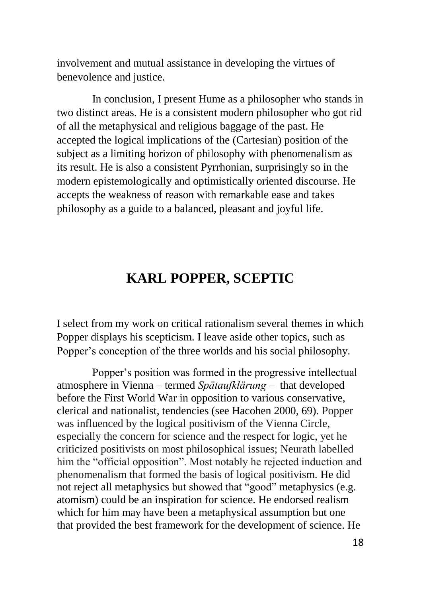involvement and mutual assistance in developing the virtues of benevolence and justice.

In conclusion, I present Hume as a philosopher who stands in two distinct areas. He is a consistent modern philosopher who got rid of all the metaphysical and religious baggage of the past. He accepted the logical implications of the (Cartesian) position of the subject as a limiting horizon of philosophy with phenomenalism as its result. He is also a consistent Pyrrhonian, surprisingly so in the modern epistemologically and optimistically oriented discourse. He accepts the weakness of reason with remarkable ease and takes philosophy as a guide to a balanced, pleasant and joyful life.

### **KARL POPPER, SCEPTIC**

I select from my work on critical rationalism several themes in which Popper displays his scepticism. I leave aside other topics, such as Popper's conception of the three worlds and his social philosophy.

Popper's position was formed in the progressive intellectual atmosphere in Vienna – termed *Spätaufklärung* – that developed before the First World War in opposition to various conservative, clerical and nationalist, tendencies (see Hacohen 2000, 69). Popper was influenced by the logical positivism of the Vienna Circle, especially the concern for science and the respect for logic, yet he criticized positivists on most philosophical issues; Neurath labelled him the "official opposition". Most notably he rejected induction and phenomenalism that formed the basis of logical positivism. He did not reject all metaphysics but showed that "good" metaphysics (e.g. atomism) could be an inspiration for science. He endorsed realism which for him may have been a metaphysical assumption but one that provided the best framework for the development of science. He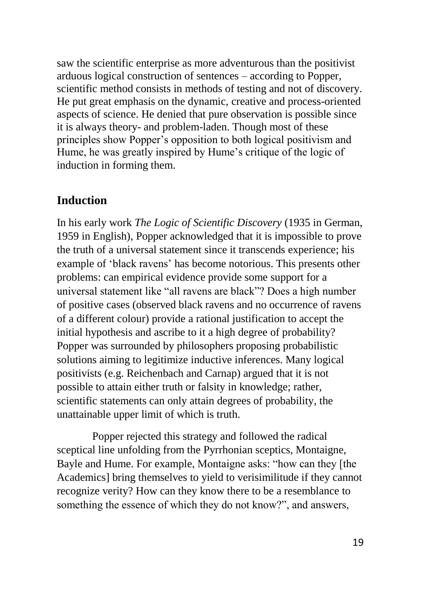saw the scientific enterprise as more adventurous than the positivist arduous logical construction of sentences – according to Popper, scientific method consists in methods of testing and not of discovery. He put great emphasis on the dynamic, creative and process-oriented aspects of science. He denied that pure observation is possible since it is always theory- and problem-laden. Though most of these principles show Popper's opposition to both logical positivism and Hume, he was greatly inspired by Hume's critique of the logic of induction in forming them.

#### **Induction**

In his early work *The Logic of Scientific Discovery* (1935 in German, 1959 in English), Popper acknowledged that it is impossible to prove the truth of a universal statement since it transcends experience; his example of 'black ravens' has become notorious. This presents other problems: can empirical evidence provide some support for a universal statement like "all ravens are black"? Does a high number of positive cases (observed black ravens and no occurrence of ravens of a different colour) provide a rational justification to accept the initial hypothesis and ascribe to it a high degree of probability? Popper was surrounded by philosophers proposing probabilistic solutions aiming to legitimize inductive inferences. Many logical positivists (e.g. Reichenbach and Carnap) argued that it is not possible to attain either truth or falsity in knowledge; rather, scientific statements can only attain degrees of probability, the unattainable upper limit of which is truth.

Popper rejected this strategy and followed the radical sceptical line unfolding from the Pyrrhonian sceptics, Montaigne, Bayle and Hume. For example, Montaigne asks: "how can they [the Academics] bring themselves to yield to verisimilitude if they cannot recognize verity? How can they know there to be a resemblance to something the essence of which they do not know?", and answers,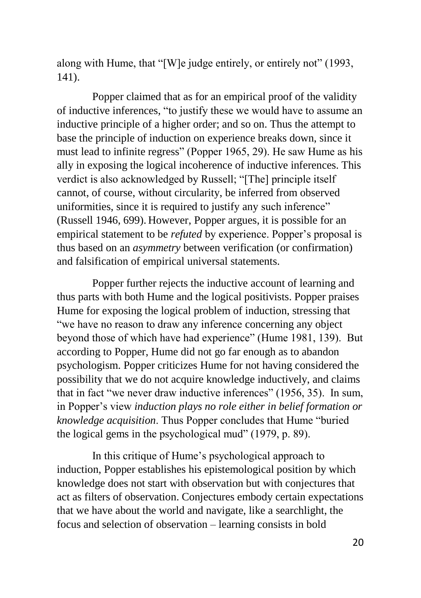along with Hume, that "[W]e judge entirely, or entirely not" (1993, 141).

Popper claimed that as for an empirical proof of the validity of inductive inferences, "to justify these we would have to assume an inductive principle of a higher order; and so on. Thus the attempt to base the principle of induction on experience breaks down, since it must lead to infinite regress" (Popper 1965, 29). He saw Hume as his ally in exposing the logical incoherence of inductive inferences. This verdict is also acknowledged by Russell; "[The] principle itself cannot, of course, without circularity, be inferred from observed uniformities, since it is required to justify any such inference" (Russell 1946, 699). However, Popper argues, it is possible for an empirical statement to be *refuted* by experience. Popper's proposal is thus based on an *asymmetry* between verification (or confirmation) and falsification of empirical universal statements.

Popper further rejects the inductive account of learning and thus parts with both Hume and the logical positivists. Popper praises Hume for exposing the logical problem of induction, stressing that "we have no reason to draw any inference concerning any object beyond those of which have had experience" (Hume 1981, 139). But according to Popper, Hume did not go far enough as to abandon psychologism. Popper criticizes Hume for not having considered the possibility that we do not acquire knowledge inductively, and claims that in fact "we never draw inductive inferences" (1956, 35). In sum, in Popper's view *induction plays no role either in belief formation or knowledge acquisition*. Thus Popper concludes that Hume "buried the logical gems in the psychological mud" (1979, p. 89).

In this critique of Hume's psychological approach to induction, Popper establishes his epistemological position by which knowledge does not start with observation but with conjectures that act as filters of observation. Conjectures embody certain expectations that we have about the world and navigate, like a searchlight, the focus and selection of observation – learning consists in bold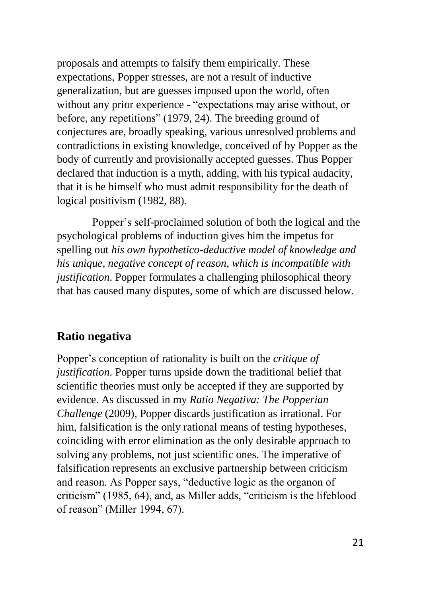proposals and attempts to falsify them empirically. These expectations, Popper stresses, are not a result of inductive generalization, but are guesses imposed upon the world, often without any prior experience - "expectations may arise without, or before, any repetitions" (1979, 24). The breeding ground of conjectures are, broadly speaking, various unresolved problems and contradictions in existing knowledge, conceived of by Popper as the body of currently and provisionally accepted guesses. Thus Popper declared that induction is a myth, adding, with his typical audacity, that it is he himself who must admit responsibility for the death of logical positivism (1982, 88).

Popper's self-proclaimed solution of both the logical and the psychological problems of induction gives him the impetus for spelling out *his own hypothetico-deductive model of knowledge and his unique, negative concept of reason, which is incompatible with justification*. Popper formulates a challenging philosophical theory that has caused many disputes, some of which are discussed below.

### **Ratio negativa**

Popper's conception of rationality is built on the *critique of justification*. Popper turns upside down the traditional belief that scientific theories must only be accepted if they are supported by evidence. As discussed in my *Ratio Negativa: The Popperian Challenge* (2009), Popper discards justification as irrational. For him, falsification is the only rational means of testing hypotheses, coinciding with error elimination as the only desirable approach to solving any problems, not just scientific ones. The imperative of falsification represents an exclusive partnership between criticism and reason. As Popper says, "deductive logic as the organon of criticism" (1985, 64), and, as Miller adds, "criticism is the lifeblood of reason" (Miller 1994, 67).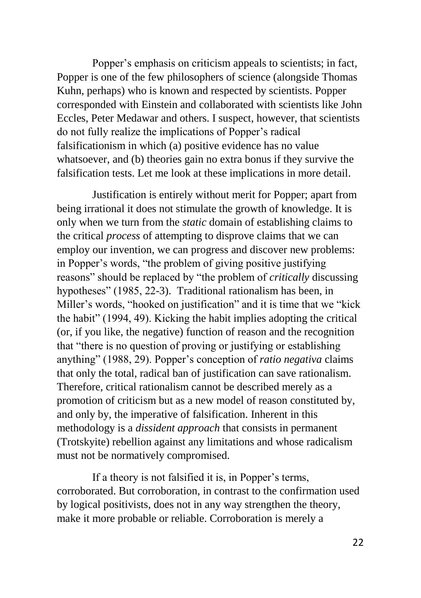Popper's emphasis on criticism appeals to scientists; in fact, Popper is one of the few philosophers of science (alongside Thomas Kuhn, perhaps) who is known and respected by scientists. Popper corresponded with Einstein and collaborated with scientists like John Eccles, Peter Medawar and others. I suspect, however, that scientists do not fully realize the implications of Popper's radical falsificationism in which (a) positive evidence has no value whatsoever, and (b) theories gain no extra bonus if they survive the falsification tests. Let me look at these implications in more detail.

Justification is entirely without merit for Popper; apart from being irrational it does not stimulate the growth of knowledge. It is only when we turn from the *static* domain of establishing claims to the critical *process* of attempting to disprove claims that we can employ our invention, we can progress and discover new problems: in Popper's words, "the problem of giving positive justifying reasons" should be replaced by "the problem of *critically* discussing hypotheses" (1985, 22-3). Traditional rationalism has been, in Miller's words, "hooked on justification" and it is time that we "kick the habit" (1994, 49). Kicking the habit implies adopting the critical (or, if you like, the negative) function of reason and the recognition that "there is no question of proving or justifying or establishing anything" (1988, 29). Popper's conception of *ratio negativa* claims that only the total, radical ban of justification can save rationalism. Therefore, critical rationalism cannot be described merely as a promotion of criticism but as a new model of reason constituted by, and only by, the imperative of falsification. Inherent in this methodology is a *dissident approach* that consists in permanent (Trotskyite) rebellion against any limitations and whose radicalism must not be normatively compromised.

If a theory is not falsified it is, in Popper's terms, corroborated. But corroboration, in contrast to the confirmation used by logical positivists, does not in any way strengthen the theory, make it more probable or reliable. Corroboration is merely a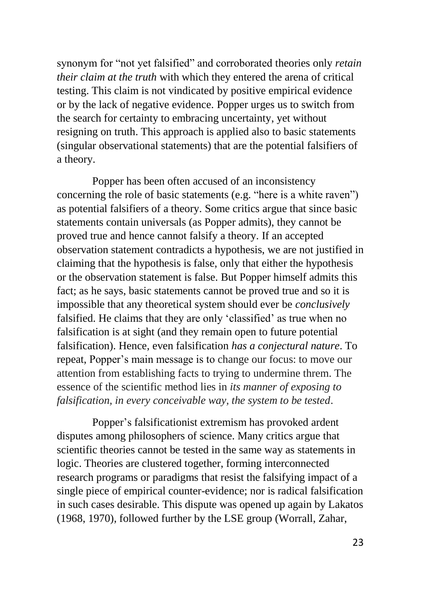synonym for "not yet falsified" and corroborated theories only *retain their claim at the truth* with which they entered the arena of critical testing. This claim is not vindicated by positive empirical evidence or by the lack of negative evidence. Popper urges us to switch from the search for certainty to embracing uncertainty, yet without resigning on truth. This approach is applied also to basic statements (singular observational statements) that are the potential falsifiers of a theory.

Popper has been often accused of an inconsistency concerning the role of basic statements (e.g. "here is a white raven") as potential falsifiers of a theory. Some critics argue that since basic statements contain universals (as Popper admits), they cannot be proved true and hence cannot falsify a theory. If an accepted observation statement contradicts a hypothesis, we are not justified in claiming that the hypothesis is false, only that either the hypothesis or the observation statement is false. But Popper himself admits this fact; as he says, basic statements cannot be proved true and so it is impossible that any theoretical system should ever be *conclusively* falsified. He claims that they are only 'classified' as true when no falsification is at sight (and they remain open to future potential falsification). Hence, even falsification *has a conjectural nature*. To repeat, Popper's main message is to change our focus: to move our attention from establishing facts to trying to undermine threm. The essence of the scientific method lies in *its manner of exposing to falsification, in every conceivable way, the system to be tested*.

Popper's falsificationist extremism has provoked ardent disputes among philosophers of science. Many critics argue that scientific theories cannot be tested in the same way as statements in logic. Theories are clustered together, forming interconnected research programs or paradigms that resist the falsifying impact of a single piece of empirical counter-evidence; nor is radical falsification in such cases desirable. This dispute was opened up again by Lakatos (1968, 1970), followed further by the LSE group (Worrall, Zahar,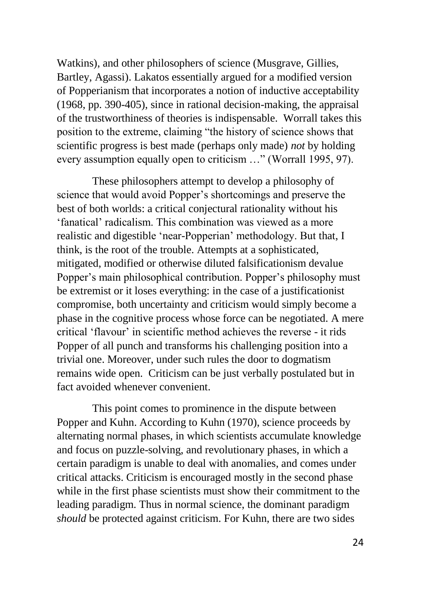Watkins), and other philosophers of science (Musgrave, Gillies, Bartley, Agassi). Lakatos essentially argued for a modified version of Popperianism that incorporates a notion of inductive acceptability (1968, pp. 390-405), since in rational decision-making, the appraisal of the trustworthiness of theories is indispensable. Worrall takes this position to the extreme, claiming "the history of science shows that scientific progress is best made (perhaps only made) *not* by holding every assumption equally open to criticism …" (Worrall 1995, 97).

These philosophers attempt to develop a philosophy of science that would avoid Popper's shortcomings and preserve the best of both worlds: a critical conjectural rationality without his 'fanatical' radicalism. This combination was viewed as a more realistic and digestible 'near-Popperian' methodology. But that, I think, is the root of the trouble. Attempts at a sophisticated, mitigated, modified or otherwise diluted falsificationism devalue Popper's main philosophical contribution. Popper's philosophy must be extremist or it loses everything: in the case of a justificationist compromise, both uncertainty and criticism would simply become a phase in the cognitive process whose force can be negotiated. A mere critical 'flavour' in scientific method achieves the reverse - it rids Popper of all punch and transforms his challenging position into a trivial one. Moreover, under such rules the door to dogmatism remains wide open. Criticism can be just verbally postulated but in fact avoided whenever convenient.

This point comes to prominence in the dispute between Popper and Kuhn. According to Kuhn (1970), science proceeds by alternating normal phases, in which scientists accumulate knowledge and focus on puzzle-solving, and revolutionary phases, in which a certain paradigm is unable to deal with anomalies, and comes under critical attacks. Criticism is encouraged mostly in the second phase while in the first phase scientists must show their commitment to the leading paradigm. Thus in normal science, the dominant paradigm *should* be protected against criticism. For Kuhn, there are two sides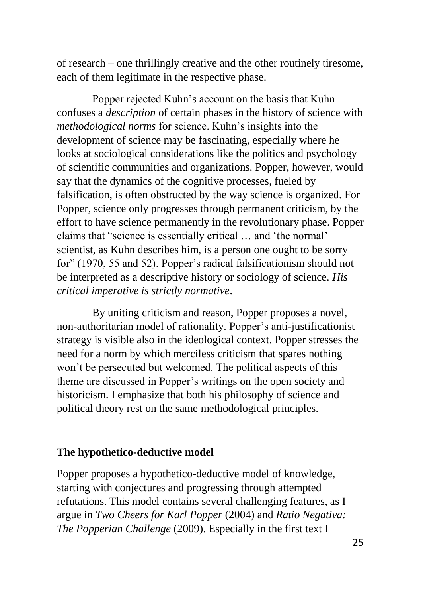of research – one thrillingly creative and the other routinely tiresome, each of them legitimate in the respective phase.

Popper rejected Kuhn's account on the basis that Kuhn confuses a *description* of certain phases in the history of science with *methodological norms* for science. Kuhn's insights into the development of science may be fascinating, especially where he looks at sociological considerations like the politics and psychology of scientific communities and organizations. Popper, however, would say that the dynamics of the cognitive processes, fueled by falsification, is often obstructed by the way science is organized. For Popper, science only progresses through permanent criticism, by the effort to have science permanently in the revolutionary phase. Popper claims that "science is essentially critical … and 'the normal' scientist, as Kuhn describes him, is a person one ought to be sorry for" (1970, 55 and 52). Popper's radical falsificationism should not be interpreted as a descriptive history or sociology of science. *His critical imperative is strictly normative*.

By uniting criticism and reason, Popper proposes a novel, non-authoritarian model of rationality. Popper's anti-justificationist strategy is visible also in the ideological context. Popper stresses the need for a norm by which merciless criticism that spares nothing won't be persecuted but welcomed. The political aspects of this theme are discussed in Popper's writings on the open society and historicism. I emphasize that both his philosophy of science and political theory rest on the same methodological principles.

#### **The hypothetico-deductive model**

Popper proposes a hypothetico-deductive model of knowledge, starting with conjectures and progressing through attempted refutations. This model contains several challenging features, as I argue in *Two Cheers for Karl Popper* (2004) and *Ratio Negativa: The Popperian Challenge* (2009). Especially in the first text I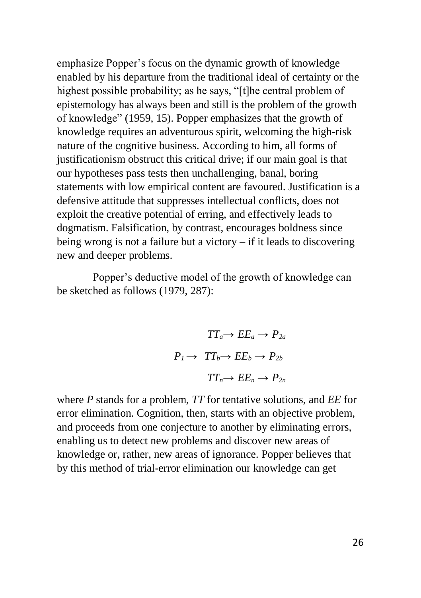emphasize Popper's focus on the dynamic growth of knowledge enabled by his departure from the traditional ideal of certainty or the highest possible probability; as he says, "[t]he central problem of epistemology has always been and still is the problem of the growth of knowledge" (1959, 15). Popper emphasizes that the growth of knowledge requires an adventurous spirit, welcoming the high-risk nature of the cognitive business. According to him, all forms of justificationism obstruct this critical drive; if our main goal is that our hypotheses pass tests then unchallenging, banal, boring statements with low empirical content are favoured. Justification is a defensive attitude that suppresses intellectual conflicts, does not exploit the creative potential of erring, and effectively leads to dogmatism. Falsification, by contrast, encourages boldness since being wrong is not a failure but a victory – if it leads to discovering new and deeper problems.

Popper's deductive model of the growth of knowledge can be sketched as follows (1979, 287):

$$
TT_a \rightarrow EE_a \rightarrow P_{2a}
$$

$$
P_l \rightarrow TT_b \rightarrow EE_b \rightarrow P_{2b}
$$

$$
TT_n \rightarrow EE_n \rightarrow P_{2n}
$$

where *P* stands for a problem, *TT* for tentative solutions, and *EE* for error elimination. Cognition, then, starts with an objective problem, and proceeds from one conjecture to another by eliminating errors, enabling us to detect new problems and discover new areas of knowledge or, rather, new areas of ignorance. Popper believes that by this method of trial-error elimination our knowledge can get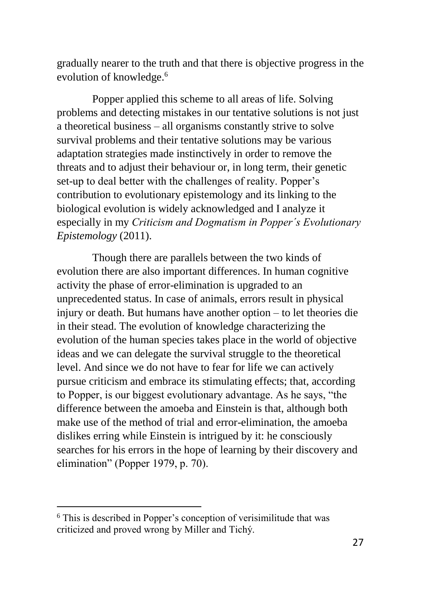gradually nearer to the truth and that there is objective progress in the evolution of knowledge.<sup>6</sup>

Popper applied this scheme to all areas of life. Solving problems and detecting mistakes in our tentative solutions is not just a theoretical business – all organisms constantly strive to solve survival problems and their tentative solutions may be various adaptation strategies made instinctively in order to remove the threats and to adjust their behaviour or, in long term, their genetic set-up to deal better with the challenges of reality. Popper's contribution to evolutionary epistemology and its linking to the biological evolution is widely acknowledged and I analyze it especially in my *Criticism and Dogmatism in Popper´s Evolutionary Epistemology* (2011).

Though there are parallels between the two kinds of evolution there are also important differences. In human cognitive activity the phase of error-elimination is upgraded to an unprecedented status. In case of animals, errors result in physical injury or death. But humans have another option – to let theories die in their stead. The evolution of knowledge characterizing the evolution of the human species takes place in the world of objective ideas and we can delegate the survival struggle to the theoretical level. And since we do not have to fear for life we can actively pursue criticism and embrace its stimulating effects; that, according to Popper, is our biggest evolutionary advantage. As he says, "the difference between the amoeba and Einstein is that, although both make use of the method of trial and error-elimination, the amoeba dislikes erring while Einstein is intrigued by it: he consciously searches for his errors in the hope of learning by their discovery and elimination" (Popper 1979, p. 70).

**.** 

 $6$  This is described in Popper's conception of verisimilitude that was criticized and proved wrong by Miller and Tichý.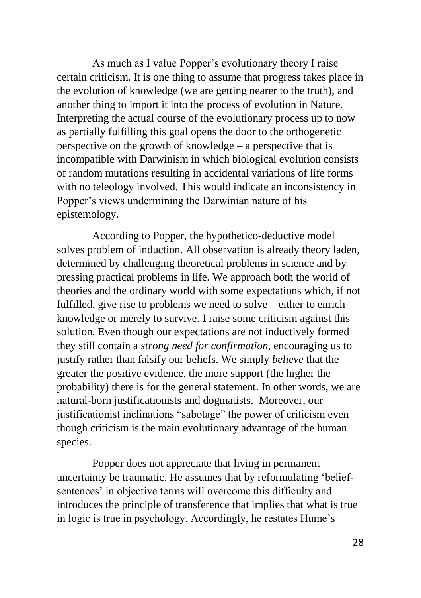As much as I value Popper's evolutionary theory I raise certain criticism. It is one thing to assume that progress takes place in the evolution of knowledge (we are getting nearer to the truth), and another thing to import it into the process of evolution in Nature. Interpreting the actual course of the evolutionary process up to now as partially fulfilling this goal opens the door to the orthogenetic perspective on the growth of knowledge – a perspective that is incompatible with Darwinism in which biological evolution consists of random mutations resulting in accidental variations of life forms with no teleology involved. This would indicate an inconsistency in Popper's views undermining the Darwinian nature of his epistemology.

According to Popper, the hypothetico-deductive model solves problem of induction. All observation is already theory laden, determined by challenging theoretical problems in science and by pressing practical problems in life. We approach both the world of theories and the ordinary world with some expectations which, if not fulfilled, give rise to problems we need to solve – either to enrich knowledge or merely to survive. I raise some criticism against this solution. Even though our expectations are not inductively formed they still contain a *strong need for confirmation*, encouraging us to justify rather than falsify our beliefs. We simply *believe* that the greater the positive evidence, the more support (the higher the probability) there is for the general statement. In other words, we are natural-born justificationists and dogmatists. Moreover, our justificationist inclinations "sabotage" the power of criticism even though criticism is the main evolutionary advantage of the human species.

Popper does not appreciate that living in permanent uncertainty be traumatic. He assumes that by reformulating 'beliefsentences' in objective terms will overcome this difficulty and introduces the principle of transference that implies that what is true in logic is true in psychology. Accordingly, he restates Hume's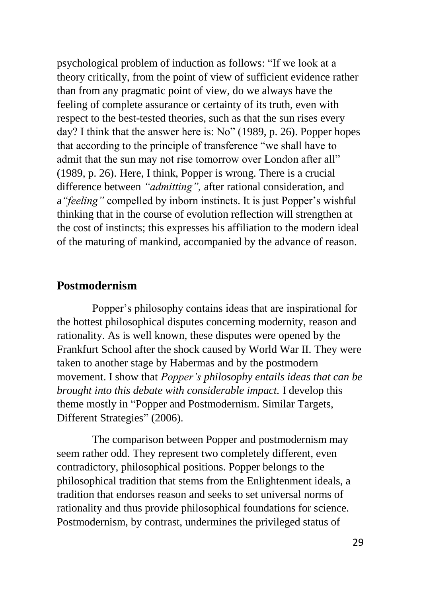psychological problem of induction as follows: "If we look at a theory critically, from the point of view of sufficient evidence rather than from any pragmatic point of view, do we always have the feeling of complete assurance or certainty of its truth, even with respect to the best-tested theories, such as that the sun rises every day? I think that the answer here is: No" (1989, p. 26). Popper hopes that according to the principle of transference "we shall have to admit that the sun may not rise tomorrow over London after all" (1989, p. 26). Here, I think, Popper is wrong. There is a crucial difference between *"admitting",* after rational consideration, and a*"feeling"* compelled by inborn instincts. It is just Popper's wishful thinking that in the course of evolution reflection will strengthen at the cost of instincts; this expresses his affiliation to the modern ideal of the maturing of mankind, accompanied by the advance of reason.

#### **Postmodernism**

Popper's philosophy contains ideas that are inspirational for the hottest philosophical disputes concerning modernity, reason and rationality. As is well known, these disputes were opened by the Frankfurt School after the shock caused by World War II. They were taken to another stage by Habermas and by the postmodern movement. I show that *Popper's philosophy entails ideas that can be brought into this debate with considerable impact.* I develop this theme mostly in "Popper and Postmodernism. Similar Targets, Different Strategies" (2006).

The comparison between Popper and postmodernism may seem rather odd. They represent two completely different, even contradictory, philosophical positions. Popper belongs to the philosophical tradition that stems from the Enlightenment ideals, a tradition that endorses reason and seeks to set universal norms of rationality and thus provide philosophical foundations for science. Postmodernism, by contrast, undermines the privileged status of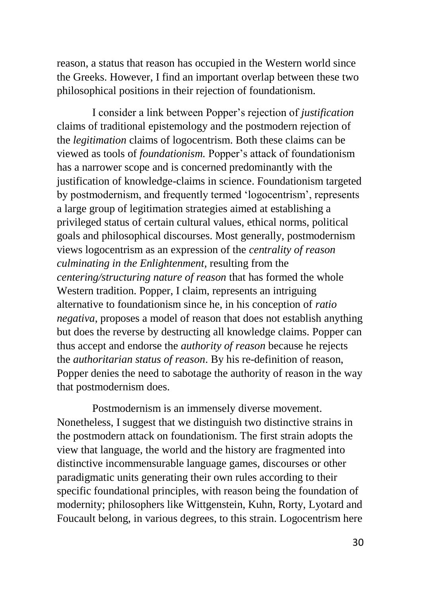reason, a status that reason has occupied in the Western world since the Greeks. However, I find an important overlap between these two philosophical positions in their rejection of foundationism.

I consider a link between Popper's rejection of *justification* claims of traditional epistemology and the postmodern rejection of the *legitimation* claims of logocentrism. Both these claims can be viewed as tools of *foundationism.* Popper's attack of foundationism has a narrower scope and is concerned predominantly with the justification of knowledge-claims in science. Foundationism targeted by postmodernism, and frequently termed 'logocentrism', represents a large group of legitimation strategies aimed at establishing a privileged status of certain cultural values, ethical norms, political goals and philosophical discourses. Most generally, postmodernism views logocentrism as an expression of the *centrality of reason culminating in the Enlightenment,* resulting from the *centering/structuring nature of reason* that has formed the whole Western tradition. Popper, I claim, represents an intriguing alternative to foundationism since he, in his conception of *ratio negativa*, proposes a model of reason that does not establish anything but does the reverse by destructing all knowledge claims. Popper can thus accept and endorse the *authority of reason* because he rejects the *authoritarian status of reason*. By his re-definition of reason, Popper denies the need to sabotage the authority of reason in the way that postmodernism does.

Postmodernism is an immensely diverse movement. Nonetheless, I suggest that we distinguish two distinctive strains in the postmodern attack on foundationism. The first strain adopts the view that language, the world and the history are fragmented into distinctive incommensurable language games, discourses or other paradigmatic units generating their own rules according to their specific foundational principles, with reason being the foundation of modernity; philosophers like Wittgenstein, Kuhn, Rorty, Lyotard and Foucault belong, in various degrees, to this strain. Logocentrism here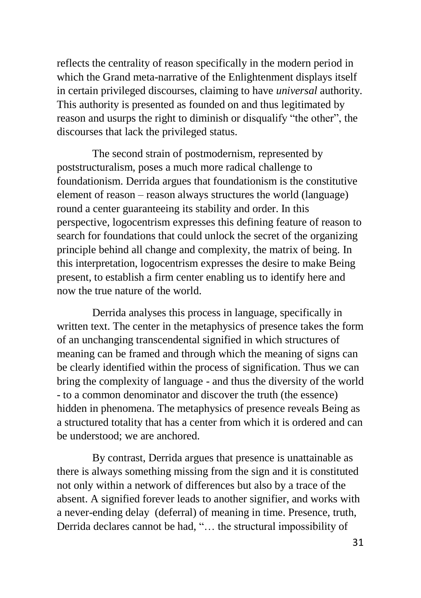reflects the centrality of reason specifically in the modern period in which the Grand meta-narrative of the Enlightenment displays itself in certain privileged discourses, claiming to have *universal* authority*.*  This authority is presented as founded on and thus legitimated by reason and usurps the right to diminish or disqualify "the other", the discourses that lack the privileged status.

The second strain of postmodernism, represented by poststructuralism, poses a much more radical challenge to foundationism. Derrida argues that foundationism is the constitutive element of reason – reason always structures the world (language) round a center guaranteeing its stability and order. In this perspective, logocentrism expresses this defining feature of reason to search for foundations that could unlock the secret of the organizing principle behind all change and complexity, the matrix of being. In this interpretation, logocentrism expresses the desire to make Being present, to establish a firm center enabling us to identify here and now the true nature of the world.

Derrida analyses this process in language, specifically in written text. The center in the metaphysics of presence takes the form of an unchanging transcendental signified in which structures of meaning can be framed and through which the meaning of signs can be clearly identified within the process of signification. Thus we can bring the complexity of language - and thus the diversity of the world - to a common denominator and discover the truth (the essence) hidden in phenomena. The metaphysics of presence reveals Being as a structured totality that has a center from which it is ordered and can be understood; we are anchored.

By contrast, Derrida argues that presence is unattainable as there is always something missing from the sign and it is constituted not only within a network of differences but also by a trace of the absent. A signified forever leads to another signifier, and works with a never-ending delay (deferral) of meaning in time. Presence, truth, Derrida declares cannot be had, "… the structural impossibility of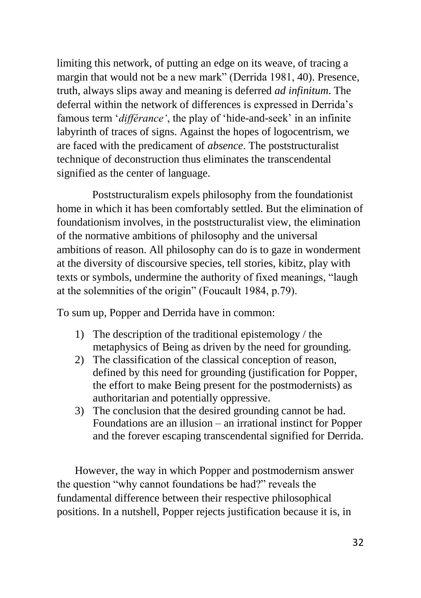limiting this network, of putting an edge on its weave, of tracing a margin that would not be a new mark" (Derrida 1981, 40). Presence, truth, always slips away and meaning is deferred *ad infinitum*. The deferral within the network of differences is expressed in Derrida's famous term '*différance'*, the play of 'hide-and-seek' in an infinite labyrinth of traces of signs. Against the hopes of logocentrism, we are faced with the predicament of *absence*. The poststructuralist technique of deconstruction thus eliminates the transcendental signified as the center of language.

Poststructuralism expels philosophy from the foundationist home in which it has been comfortably settled. But the elimination of foundationism involves, in the poststructuralist view, the elimination of the normative ambitions of philosophy and the universal ambitions of reason. All philosophy can do is to gaze in wonderment at the diversity of discoursive species, tell stories, kibitz, play with texts or symbols, undermine the authority of fixed meanings, "laugh at the solemnities of the origin" (Foucault 1984, p.79).

To sum up, Popper and Derrida have in common:

- 1) The description of the traditional epistemology / the metaphysics of Being as driven by the need for grounding.
- 2) The classification of the classical conception of reason, defined by this need for grounding (justification for Popper, the effort to make Being present for the postmodernists) as authoritarian and potentially oppressive.
- 3) The conclusion that the desired grounding cannot be had. Foundations are an illusion – an irrational instinct for Popper and the forever escaping transcendental signified for Derrida.

However, the way in which Popper and postmodernism answer the question "why cannot foundations be had?" reveals the fundamental difference between their respective philosophical positions. In a nutshell, Popper rejects justification because it is, in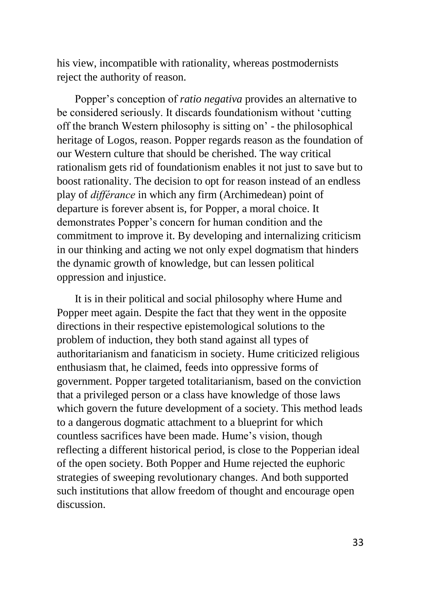his view, incompatible with rationality, whereas postmodernists reject the authority of reason.

Popper's conception of *ratio negativa* provides an alternative to be considered seriously. It discards foundationism without 'cutting off the branch Western philosophy is sitting on' - the philosophical heritage of Logos, reason. Popper regards reason as the foundation of our Western culture that should be cherished. The way critical rationalism gets rid of foundationism enables it not just to save but to boost rationality. The decision to opt for reason instead of an endless play of *différance* in which any firm (Archimedean) point of departure is forever absent is, for Popper, a moral choice. It demonstrates Popper's concern for human condition and the commitment to improve it. By developing and internalizing criticism in our thinking and acting we not only expel dogmatism that hinders the dynamic growth of knowledge, but can lessen political oppression and injustice.

It is in their political and social philosophy where Hume and Popper meet again. Despite the fact that they went in the opposite directions in their respective epistemological solutions to the problem of induction, they both stand against all types of authoritarianism and fanaticism in society. Hume criticized religious enthusiasm that, he claimed, feeds into oppressive forms of government. Popper targeted totalitarianism, based on the conviction that a privileged person or a class have knowledge of those laws which govern the future development of a society. This method leads to a dangerous dogmatic attachment to a blueprint for which countless sacrifices have been made. Hume's vision, though reflecting a different historical period, is close to the Popperian ideal of the open society. Both Popper and Hume rejected the euphoric strategies of sweeping revolutionary changes. And both supported such institutions that allow freedom of thought and encourage open discussion.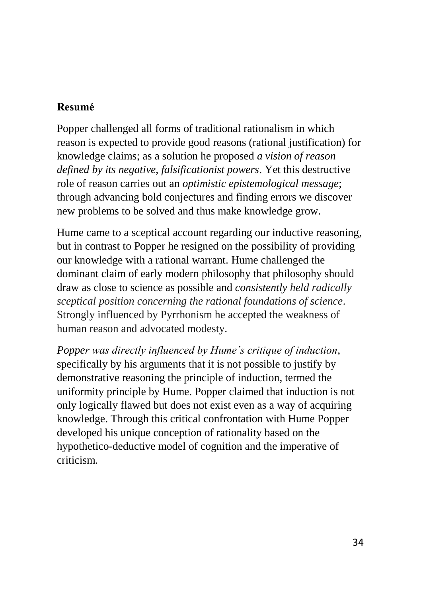#### **Resumé**

Popper challenged all forms of traditional rationalism in which reason is expected to provide good reasons (rational justification) for knowledge claims; as a solution he proposed *a vision of reason defined by its negative, falsificationist powers*. Yet this destructive role of reason carries out an *optimistic epistemological message*; through advancing bold conjectures and finding errors we discover new problems to be solved and thus make knowledge grow.

Hume came to a sceptical account regarding our inductive reasoning, but in contrast to Popper he resigned on the possibility of providing our knowledge with a rational warrant. Hume challenged the dominant claim of early modern philosophy that philosophy should draw as close to science as possible and *consistently held radically sceptical position concerning the rational foundations of science*. Strongly influenced by Pyrrhonism he accepted the weakness of human reason and advocated modesty.

*Popper was directly influenced by Hume´s critique of induction*, specifically by his arguments that it is not possible to justify by demonstrative reasoning the principle of induction, termed the uniformity principle by Hume. Popper claimed that induction is not only logically flawed but does not exist even as a way of acquiring knowledge. Through this critical confrontation with Hume Popper developed his unique conception of rationality based on the hypothetico-deductive model of cognition and the imperative of criticism.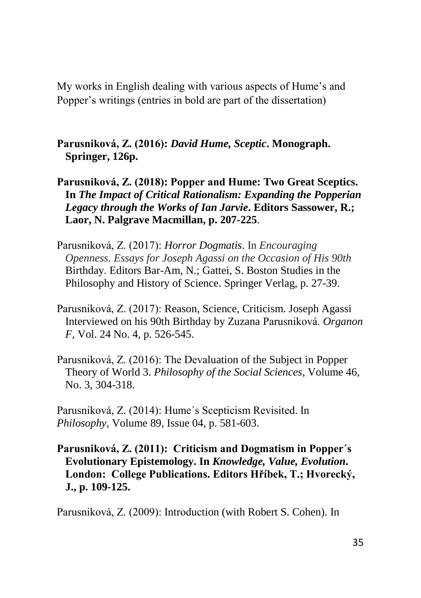My works in English dealing with various aspects of Hume's and Popper's writings (entries in bold are part of the dissertation)

**Parusniková, Z. (2016):** *David Hume, Sceptic***. Monograph. Springer, 126p.**

- **Parusniková, Z. (2018): Popper and Hume: Two Great Sceptics. In** *The Impact of Critical Rationalism: Expanding the Popperian Legacy through the Works of Ian Jarvie***. Editors Sassower, R.; Laor, N. Palgrave Macmillan, p. 207-225**.
- Parusniková, Z. (2017): *Horror Dogmatis*. In *Encouraging Openness. Essays for Joseph Agassi on the Occasion of His 90th* Birthday*.* Editors Bar-Am, N.; Gattei, S. Boston Studies in the Philosophy and History of Science. Springer Verlag, p. 27-39.
- Parusniková, Z. (2017): Reason, Science, Criticism. Joseph Agassi Interviewed on his 90th Birthday by Zuzana Parusniková. *Organon F*, Vol. 24 No. 4, p. 526-545.
- Parusniková, Z. (2016): The Devaluation of the Subject in Popper Theory of World 3. *Philosophy of the Social Sciences*, Volume 46, No. 3, 304-318.
- Parusniková, Z. (2014): Hume´s Scepticism Revisited. In *Philosophy*, Volume 89, Issue 04, p. 581-603.
- **Parusniková, Z. (2011): Criticism and Dogmatism in Popper´s Evolutionary Epistemology. In** *Knowledge, Value, Evolution***. London: College Publications. Editors Hříbek, T.; Hvorecký, J., p. 109-125.**

Parusniková, Z. (2009): Introduction (with Robert S. Cohen). In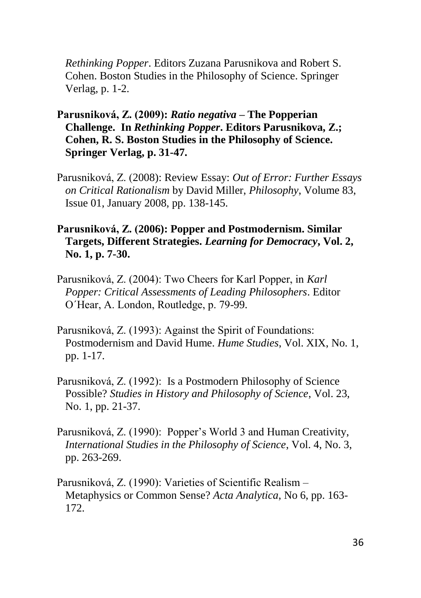*Rethinking Popper*. Editors Zuzana Parusnikova and Robert S. Cohen. Boston Studies in the Philosophy of Science. Springer Verlag, p. 1-2.

- **Parusniková, Z. (2009):** *Ratio negativa* **– The Popperian Challenge. In** *Rethinking Popper***. Editors Parusnikova, Z.; Cohen, R. S. Boston Studies in the Philosophy of Science. Springer Verlag, p. 31-47.**
- Parusniková, Z. (2008): Review Essay: *Out of Error: Further Essays on Critical Rationalism* by David Miller, *Philosophy*, Volume 83, Issue 01, January 2008, pp. 138-145.
- **Parusniková, Z. (2006): Popper and Postmodernism. Similar Targets, Different Strategies.** *Learning for Democracy***, Vol. 2, No. 1, p. 7-30.**
- Parusniková, Z. (2004): Two Cheers for Karl Popper, in *Karl Popper: Critical Assessments of Leading Philosophers*. Editor O´Hear, A. London, Routledge, p. 79-99.
- Parusniková, Z. (1993): Against the Spirit of Foundations: Postmodernism and David Hume. *Hume Studies*, Vol. XIX, No. 1, pp. 1-17.
- Parusniková, Z. (1992): Is a Postmodern Philosophy of Science Possible? *Studies in History and Philosophy of Science*, Vol. 23, No. 1, pp. 21-37.
- Parusniková, Z. (1990): Popper's World 3 and Human Creativity, *International Studies in the Philosophy of Science*, Vol. 4, No. 3, pp. 263-269.
- Parusniková, Z. (1990): Varieties of Scientific Realism Metaphysics or Common Sense? *Acta Analytica*, No 6, pp. 163- 172.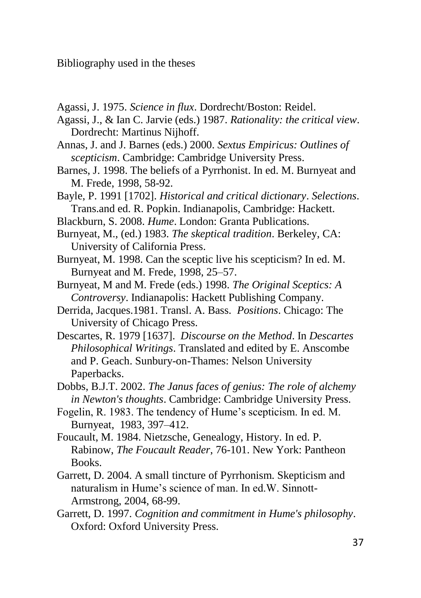Bibliography used in the theses

- Agassi, J. 1975. *Science in flux*. Dordrecht/Boston: Reidel.
- Agassi, J., & Ian C. Jarvie (eds.) 1987. *Rationality: the critical view*. Dordrecht: Martinus Nijhoff.
- Annas, J. and J. Barnes (eds.) 2000. *Sextus Empiricus: Outlines of scepticism*. Cambridge: Cambridge University Press.
- Barnes, J. 1998. The beliefs of a Pyrrhonist. In ed. M. Burnyeat and M. Frede, 1998, 58-92.
- Bayle, P. 1991 [1702]. *Historical and critical dictionary*. *Selections*. Trans.and ed. R. Popkin. Indianapolis, Cambridge: Hackett.
- Blackburn, S. 2008. *Hume*. London: Granta Publications.
- Burnyeat, M., (ed.) 1983. *The skeptical tradition*. Berkeley, CA: University of California Press.
- Burnyeat, M. 1998. Can the sceptic live his scepticism? In ed. M. Burnyeat and M. Frede, 1998, 25–57.
- Burnyeat, M and M. Frede (eds.) 1998. *The Original Sceptics: A Controversy*. Indianapolis: Hackett Publishing Company.
- Derrida, Jacques.1981. Transl. A. Bass. *Positions*. Chicago: The University of Chicago Press.
- Descartes, R. 1979 [1637]. *Discourse on the Method*. In *Descartes Philosophical Writings*. Translated and edited by E. Anscombe and P. Geach. Sunbury-on-Thames: Nelson University Paperbacks.
- Dobbs, B.J.T. 2002. *The Janus faces of genius: The role of alchemy in Newton's thoughts*. Cambridge: Cambridge University Press.
- Fogelin, R. 1983. The tendency of Hume's scepticism. In ed. M. Burnyeat, 1983, 397–412.
- Foucault, M. 1984. Nietzsche, Genealogy, History. In ed. P. Rabinow, *The Foucault Reader*, 76-101. New York: Pantheon Books.
- Garrett, D. 2004. A small tincture of Pyrrhonism. Skepticism and naturalism in Hume's science of man. In ed.W. Sinnott-Armstrong, 2004, 68-99.
- Garrett, D. 1997. *Cognition and commitment in Hume's philosophy*. Oxford: Oxford University Press.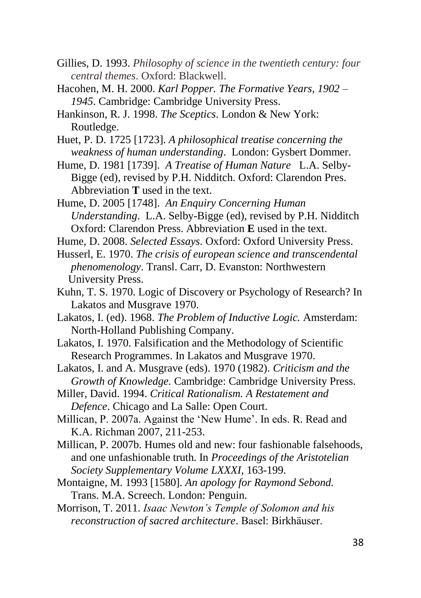- Gillies, D. 1993. *Philosophy of science in the twentieth century: four central themes*. Oxford: Blackwell.
- Hacohen, M. H. 2000. *Karl Popper. The Formative Years, 1902 – 1945*. Cambridge: Cambridge University Press.
- Hankinson, R. J. 1998. *The Sceptics*. London & New York: Routledge.
- Huet, P. D. 1725 [1723]. *A philosophical treatise concerning the weakness of human understanding*. London: Gysbert Dommer.
- Hume, D. 1981 [1739]. *A Treatise of Human Nature* L.A. Selby-Bigge (ed), revised by P.H. Nidditch. Oxford: Clarendon Pres. Abbreviation **T** used in the text.
- Hume, D. 2005 [1748]. *An Enquiry Concerning Human Understanding*. L.A. Selby-Bigge (ed), revised by P.H. Nidditch Oxford: Clarendon Press. Abbreviation **E** used in the text.

Hume, D. 2008. *Selected Essays*. Oxford: Oxford University Press.

- Husserl, E. 1970. *The crisis of european science and transcendental phenomenology*. Transl. Carr, D. Evanston: Northwestern University Press.
- Kuhn, T. S. 1970. Logic of Discovery or Psychology of Research? In Lakatos and Musgrave 1970.
- Lakatos, I. (ed). 1968. *The Problem of Inductive Logic.* Amsterdam: North-Holland Publishing Company.
- Lakatos, I. 1970. Falsification and the Methodology of Scientific Research Programmes. In Lakatos and Musgrave 1970.
- Lakatos, I. and A. Musgrave (eds). 1970 (1982). *Criticism and the Growth of Knowledge.* Cambridge: Cambridge University Press.
- Miller, David. 1994. *Critical Rationalism. A Restatement and Defence*. Chicago and La Salle: Open Court.
- Millican, P. 2007a. Against the 'New Hume'. In eds. R. Read and K.A. Richman 2007, 211-253.
- Millican, P. 2007b. Humes old and new: four fashionable falsehoods, and one unfashionable truth. In *Proceedings of the Aristotelian Society Supplementary Volume LXXXI*, 163-199.
- Montaigne, M. 1993 [1580]. *An apology for Raymond Sebond.* Trans. M.A. Screech. London: Penguin.
- Morrison, T. 2011. *Isaac Newton's Temple of Solomon and his reconstruction of sacred architecture*. Basel: Birkhäuser.